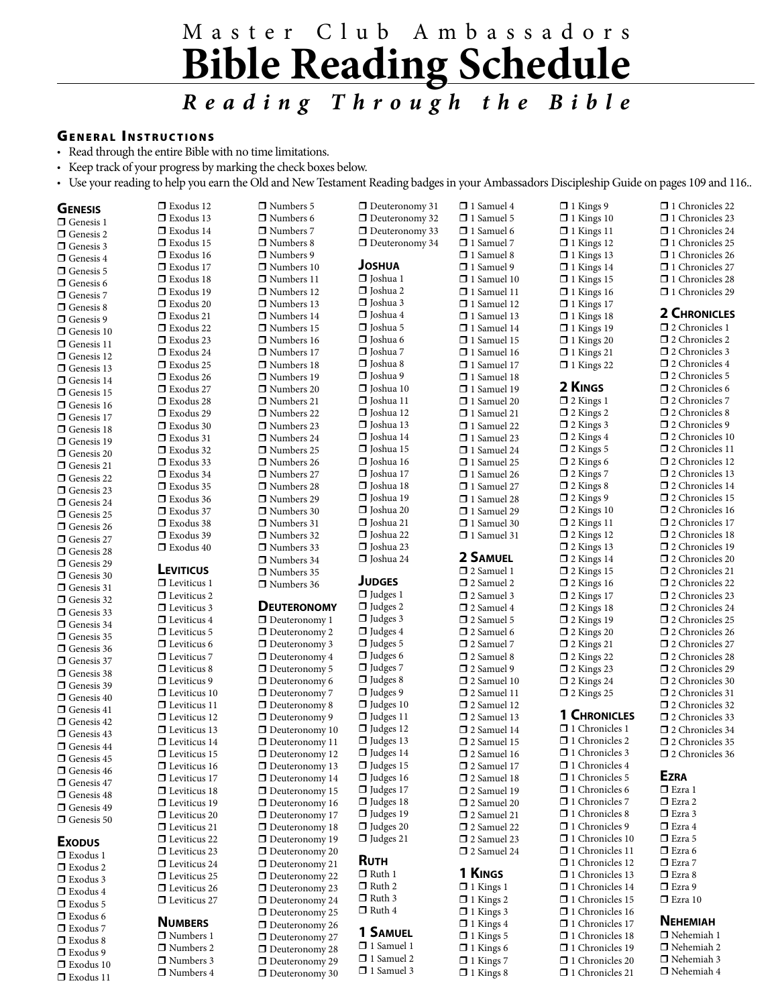# M a s t e r C l u b A m b a s s a d o r s **Bible Reading Schedule** *R e a d i n g T h r o u g h t h e B i b l e*

### **GENERAL INSTRUCTIONS**

 $\Box$  Exodus 11

• Read through the entire Bible with no time limitations.

• Keep track of your progress by marking the check boxes below.

• Use your reading to help you earn the Old and New Testament Reading badges in your Ambassadors Discipleship Guide on pages 109 and 116..

| <b>GENESIS</b>                         | □ Exodus 12         | $\Box$ Numbers 5                        | $\Box$ Deuteronomy 31 | □ 1 Samuel 4          | $\Box$ 1 Kings 9      | □ 1 Chronicles 22                                 |
|----------------------------------------|---------------------|-----------------------------------------|-----------------------|-----------------------|-----------------------|---------------------------------------------------|
| $\Box$ Genesis 1                       | $\Box$ Exodus 13    | $\Box$ Numbers 6                        | $\Box$ Deuteronomy 32 | □ 1 Samuel 5          | $\Box$ 1 Kings 10     | 1 Chronicles 23                                   |
| $\Box$ Genesis 2                       | $\Box$ Exodus 14    | □ Numbers 7                             | $\Box$ Deuteronomy 33 | $\Box$ 1 Samuel 6     | $\Box$ 1 Kings 11     | 1 Chronicles 24                                   |
|                                        | $\Box$ Exodus 15    | $\Box$ Numbers 8                        | Deuteronomy 34        | $\Box$ 1 Samuel 7     | $\Box$ 1 Kings 12     | $\Box$ 1 Chronicles 25                            |
| $\Box$ Genesis 3                       | $\Box$ Exodus 16    | $\Box$ Numbers 9                        |                       | $\Box$ 1 Samuel 8     | $\Box$ 1 Kings 13     | □ 1 Chronicles 26                                 |
| $\Box$ Genesis 4                       | $\Box$ Exodus 17    | $\Box$ Numbers 10                       | <b>JOSHUA</b>         | $\Box$ 1 Samuel 9     | $\Box$ 1 Kings 14     | □ 1 Chronicles 27                                 |
| $\Box$ Genesis 5                       | $\Box$ Exodus 18    | □ Numbers 11                            | □ Joshua 1            | $\Box$ 1 Samuel 10    | $\Box$ 1 Kings 15     | 1 Chronicles 28                                   |
| $\Box$ Genesis 6                       | $\Box$ Exodus 19    | □ Numbers 12                            | □ Joshua 2            | $\Box$ 1 Samuel 11    | $\Box$ 1 Kings 16     | 1 Chronicles 29                                   |
| $\Box$ Genesis 7                       | $\square$ Exodus 20 | □ Numbers 13                            | $\Box$ Joshua 3       | 1 Samuel 12           | $\Box$ 1 Kings 17     |                                                   |
| $\Box$ Genesis 8                       | $\Box$ Exodus 21    | $\Box$ Numbers 14                       | □ Joshua 4            | $\Box$ 1 Samuel 13    | $\Box$ 1 Kings 18     | <b>2 CHRONICLES</b>                               |
| Genesis 9                              | $\Box$ Exodus 22    | $\Box$ Numbers 15                       | □ Joshua 5            | □ 1 Samuel 14         | $\Box$ 1 Kings 19     | $\square$ 2 Chronicles 1                          |
| $\Box$ Genesis 10                      | $\Box$ Exodus 23    | Numbers 16                              | □ Joshua 6            | $\Box$ 1 Samuel 15    | $\Box$ 1 Kings 20     | □ 2 Chronicles 2                                  |
| $\Box$ Genesis 11                      |                     |                                         | □ Joshua 7            | $\Box$ 1 Samuel 16    |                       | □ 2 Chronicles 3                                  |
| $\Box$ Genesis 12                      | $\Box$ Exodus 24    | □ Numbers 17                            |                       |                       | $\Box$ 1 Kings 21     | $\Box$ 2 Chronicles 4                             |
| $\Box$ Genesis 13                      | $\square$ Exodus 25 | □ Numbers 18                            | □ Joshua 8            | 1 Samuel 17           | $\Box$ 1 Kings 22     |                                                   |
| $\Box$ Genesis 14                      | $\Box$ Exodus 26    | □ Numbers 19                            | □ Joshua 9            | $\Box$ 1 Samuel 18    | 2 KINGS               | $\square$ 2 Chronicles 5<br>$\Box$ 2 Chronicles 6 |
| $\Box$ Genesis 15                      | Exodus 27           | $\Box$ Numbers 20                       | $\Box$ Joshua 10      | $\Box$ 1 Samuel 19    |                       |                                                   |
| $\Box$ Genesis 16                      | $\Box$ Exodus 28    | □ Numbers 21                            | □ Joshua 11           | □ 1 Samuel 20         | $\Box$ 2 Kings 1      | □ 2 Chronicles 7                                  |
| $\Box$ Genesis 17                      | $\Box$ Exodus 29    | □ Numbers 22                            | □ Joshua 12           | $\Box$ 1 Samuel 21    | $\Box$ 2 Kings 2      | □ 2 Chronicles 8                                  |
| $\Box$ Genesis 18                      | $\square$ Exodus 30 | $\Box$ Numbers 23                       | □ Joshua 13           | $\Box$ 1 Samuel 22    | $\Box$ 2 Kings 3      | □ 2 Chronicles 9                                  |
| $\Box$ Genesis 19                      | $\Box$ Exodus 31    | □ Numbers 24                            | □ Joshua 14           | $\Box$ 1 Samuel 23    | $\Box$ 2 Kings 4      | $\square$ 2 Chronicles 10                         |
| $\Box$ Genesis 20                      | $\square$ Exodus 32 | Numbers 25                              | $\Box$ Joshua 15      | 1 Samuel 24           | □ 2 Kings 5           | $\square$ 2 Chronicles 11                         |
| $\Box$ Genesis 21                      | $\Box$ Exodus 33    | □ Numbers 26                            | □ Joshua 16           | 1 Samuel 25           | $\Box$ 2 Kings 6      | □ 2 Chronicles 12                                 |
| $\Box$ Genesis 22                      | Exodus 34           | □ Numbers 27                            | □ Joshua 17           | $\Box$ 1 Samuel 26    | $\Box$ 2 Kings 7      | $\square$ 2 Chronicles 13                         |
| $\Box$ Genesis 23                      | $\Box$ Exodus 35    | Numbers 28                              | □ Joshua 18           | $\Box$ 1 Samuel 27    | $\Box$ 2 Kings 8      | $\square$ 2 Chronicles 14                         |
| $\Box$ Genesis 24                      | $\Box$ Exodus 36    | □ Numbers 29                            | □ Joshua 19           | $\Box$ 1 Samuel 28    | $\Box$ 2 Kings 9      | $\square$ 2 Chronicles 15                         |
| $\Box$ Genesis 25                      | $\square$ Exodus 37 | $\Box$ Numbers 30                       | □ Joshua 20           | $\Box$ 1 Samuel 29    | $\Box$ 2 Kings 10     | $\square$ 2 Chronicles 16                         |
| $\Box$ Genesis 26                      | $\Box$ Exodus 38    | □ Numbers 31                            | □ Joshua 21           | $\Box$ 1 Samuel 30    | $\Box$ 2 Kings 11     | □ 2 Chronicles 17                                 |
| $\Box$ Genesis 27                      | $\Box$ Exodus 39    | $\Box$ Numbers 32                       | □ Joshua 22           | $\Box$ 1 Samuel 31    | $\Box$ 2 Kings 12     | □ 2 Chronicles 18                                 |
| $\Box$ Genesis 28                      | $\Box$ Exodus 40    | $\Box$ Numbers 33                       | □ Joshua 23           |                       | $\Box$ 2 Kings 13     | □ 2 Chronicles 19                                 |
| $\Box$ Genesis 29                      |                     | $\Box$ Numbers 34                       | □ Joshua 24           | 2 SAMUEL              | $\Box$ 2 Kings 14     | □ 2 Chronicles 20                                 |
| $\Box$ Genesis 30                      | <b>LEVITICUS</b>    | $\Box$ Numbers 35                       |                       | □ 2 Samuel 1          | $\square$ 2 Kings 15  | □ 2 Chronicles 21                                 |
| $\Box$ Genesis 31                      | $\Box$ Leviticus 1  | □ Numbers 36                            | <b>JUDGES</b>         | □ 2 Samuel 2          | $\Box$ 2 Kings 16     | 22 Chronicles 22                                  |
| $\Box$ Genesis 32                      | $\Box$ Leviticus 2  |                                         | $\Box$ Judges 1       | $\Box$ 2 Samuel 3     | $\Box$ 2 Kings 17     | □ 2 Chronicles 23                                 |
| $\Box$ Genesis 33                      | $\Box$ Leviticus 3  | <b>DEUTERONOMY</b>                      | $\Box$ Judges 2       | $\Box$ 2 Samuel 4     | $\Box$ 2 Kings 18     | □ 2 Chronicles 24                                 |
| $\Box$ Genesis 34                      | $\Box$ Leviticus 4  | $\Box$ Deuteronomy 1                    | $\Box$ Judges 3       | $\Box$ 2 Samuel 5     | $\Box$ 2 Kings 19     | □ 2 Chronicles 25                                 |
| $\Box$ Genesis 35                      | $\Box$ Leviticus 5  | $\Box$ Deuteronomy 2                    | $\Box$ Judges 4       | $\Box$ 2 Samuel 6     | $\square$ 2 Kings 20  | □ 2 Chronicles 26                                 |
|                                        | $\Box$ Leviticus 6  | $\Box$ Deuteronomy 3                    | $\Box$ Judges 5       | □ 2 Samuel 7          | $\Box$ 2 Kings 21     | □ 2 Chronicles 27                                 |
| $\Box$ Genesis 36<br>$\Box$ Genesis 37 | $\Box$ Leviticus 7  | $\Box$ Deuteronomy 4                    | $\Box$ Judges 6       | $\square$ 2 Samuel 8  | $\Box$ 2 Kings 22     | □ 2 Chronicles 28                                 |
|                                        | $\Box$ Leviticus 8  | $\Box$ Deuteronomy 5                    | $\Box$ Judges 7       | $\Box$ 2 Samuel 9     | $\Box$ 2 Kings 23     | □ 2 Chronicles 29                                 |
| $\Box$ Genesis 38                      | $\Box$ Leviticus 9  | $\Box$ Deuteronomy 6                    | $\Box$ Judges 8       | $\square$ 2 Samuel 10 | $\Box$ 2 Kings 24     | □ 2 Chronicles 30                                 |
| $\Box$ Genesis 39                      | $\Box$ Leviticus 10 | $\Box$ Deuteronomy 7                    | $\Box$ Judges 9       | □ 2 Samuel 11         | $\Box$ 2 Kings 25     | $\square$ 2 Chronicles 31                         |
| $\Box$ Genesis 40                      | $\Box$ Leviticus 11 | $\Box$ Deuteronomy 8                    | $\Box$ Judges 10      | □ 2 Samuel 12         |                       | □ 2 Chronicles 32                                 |
| $\Box$ Genesis 41                      | $\Box$ Leviticus 12 | $\Box$ Deuteronomy 9                    | $\Box$ Judges 11      | $\square$ 2 Samuel 13 | 1 CHRONICLES          | □ 2 Chronicles 33                                 |
| $\Box$ Genesis 42                      | $\Box$ Leviticus 13 | $\Box$ Deuteronomy 10                   | $\Box$ Judges 12      | □ 2 Samuel 14         | $\Box$ 1 Chronicles 1 | □ 2 Chronicles 34                                 |
| $\Box$ Genesis 43                      | $\Box$ Leviticus 14 | $\Box$ Deuteronomy 11                   | $\Box$ Judges 13      | $\square$ 2 Samuel 15 | 1 Chronicles 2        | □ 2 Chronicles 35                                 |
| $\Box$ Genesis 44                      | $\Box$ Leviticus 15 | $\Box$ Deuteronomy 12                   | $\Box$ Judges 14      | $\square$ 2 Samuel 16 | $\Box$ 1 Chronicles 3 | $\square$ 2 Chronicles 36                         |
| $\Box$ Genesis 45                      | $\Box$ Leviticus 16 | $\Box$ Deuteronomy 13                   | $\Box$ Judges 15      | $\Box$ 2 Samuel 17    | $\Box$ 1 Chronicles 4 |                                                   |
| $\hfill\blacksquare$ Genesis 46        | □ Leviticus 17      | $\Box$ Deuteronomy 14                   | $\Box$ Judges 16      | □ 2 Samuel 18         | $\Box$ 1 Chronicles 5 | <b>Ezra</b>                                       |
| $\Box$ Genesis 47                      | $\Box$ Leviticus 18 | $\Box$ Deuteronomy 15                   | $\Box$ Judges 17      | □ 2 Samuel 19         | $\Box$ 1 Chronicles 6 | $\Box$ Ezra 1                                     |
| $\Box$ Genesis 48                      | $\Box$ Leviticus 19 | $\hfill\Box$<br>Deuteronomy 16          | $\Box$ Judges 18      | 2 Samuel 20           | $\Box$ 1 Chronicles 7 | $\Box$ Ezra 2                                     |
| $\Box$ Genesis 49                      | $\Box$ Leviticus 20 | $\Box$ Deuteronomy 17                   | $\Box$ Judges 19      | $\square$ 2 Samuel 21 | □ 1 Chronicles 8      | $\Box$ Ezra 3                                     |
| $\Box$ Genesis 50                      | $\Box$ Leviticus 21 | Deuteronomy 18                          | $\Box$ Judges 20      | $\Box$ 2 Samuel 22    | $\Box$ 1 Chronicles 9 | $\Box$ Ezra 4                                     |
|                                        | $\Box$ Leviticus 22 | Deuteronomy 19                          | $\Box$ Judges 21      | □ 2 Samuel 23         | □ 1 Chronicles 10     | $\Box$ Ezra 5                                     |
| <b>Exopus</b>                          | $\Box$ Leviticus 23 | $\Box$ Deuteronomy 20                   |                       | □ 2 Samuel 24         | 1 Chronicles 11       | $\Box$ Ezra 6                                     |
| $\Box$ Exodus 1                        | $\Box$ Leviticus 24 | $\Box$ Deuteronomy 21                   | <b>RUTH</b>           |                       | 1 Chronicles 12       | $\square$ Ezra 7                                  |
| $\square$ Exodus 2                     | $\Box$ Leviticus 25 | $\Box$ Deuteronomy 22                   | □ Ruth 1              | 1 KINGS               | □ 1 Chronicles 13     | $\Box$ Ezra 8                                     |
| $\Box$ Exodus 3                        | $\Box$ Leviticus 26 | $\Box$ Deuteronomy 23                   | $\Box$ Ruth 2         | $\Box$ 1 Kings 1      | 1 Chronicles 14       | $\Box$ Ezra 9                                     |
| $\Box$ Exodus 4                        |                     |                                         | $\Box$ Ruth 3         | $\Box$ 1 Kings 2      | □ 1 Chronicles 15     | $\Box$ Ezra 10                                    |
| $\Box$ Exodus 5                        | $\Box$ Leviticus 27 | $\Box$ Deuteronomy 24<br>Deuteronomy 25 | $\Box$ Ruth 4         | $\Box$ 1 Kings 3      | 1 Chronicles 16       |                                                   |
| $\Box$ Exodus 6                        | <b>NUMBERS</b>      |                                         |                       | $\Box$ 1 Kings 4      | 1 Chronicles 17       | <b>NEHEMIAH</b>                                   |
| $\square$ Exodus 7                     | □ Numbers 1         | $\Box$ Deuteronomy 26                   | 1 SAMUEL              |                       | □ 1 Chronicles 18     | □ Nehemiah 1                                      |
| $\Box$ Exodus 8                        |                     | $\Box$ Deuteronomy 27                   | 1 Samuel 1            | $\Box$ 1 Kings 5      | 1 Chronicles 19       | □ Nehemiah 2                                      |
| □ Exodus 9                             | □ Numbers 2         | Deuteronomy 28                          | 1 Samuel 2            | $\Box$ 1 Kings 6      |                       | □ Nehemiah 3                                      |
| $\Box$ Exodus 10                       | □ Numbers 3         | Deuteronomy 29                          | 1 Samuel 3            | $\Box$ 1 Kings 7      | 1 Chronicles 20       | □ Nehemiah 4                                      |
| $\Box$ Frodus 11                       | □ Numbers 4         | $\hfill\blacksquare$<br>Deuteronomy 30  |                       | $\Box$ 1 Kings 8      | 1 Chronicles 21       |                                                   |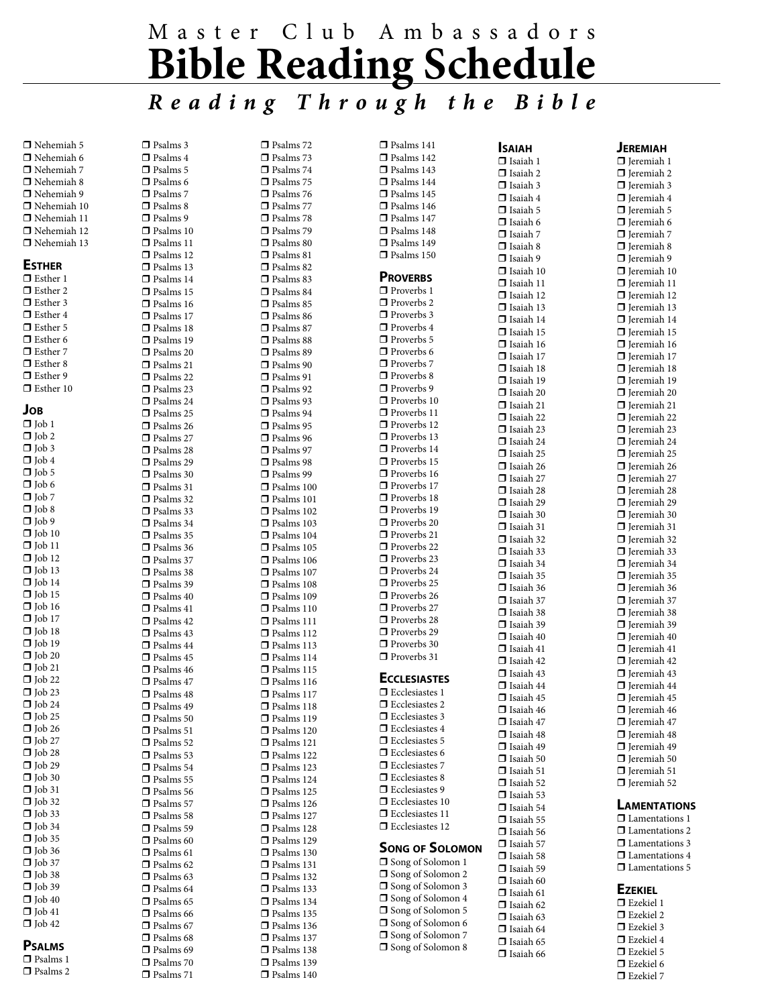# M a s t e r C l u b A m b a s s a d o r s **Bible Reading Schedule** *R e a d i n g T h r o u g h t h e B i b l e*

 $\Box$  Nehemiah 5  $\Box$  Nehemiah 6  $\Box$  Nehemiah 7  $\Box$  Nehemiah 8  $\blacksquare$  Nehemiah 9  $\Box$  Nehemiah 10  $\Box$  Nehemiah 11  $\Box$  Nehemiah 12  $\Box$  Nehemiah 13 **Esther**  $\Box$  Esther 1  $\Box$  Esther 2  $\Box$  Esther 3  $\Box$  Esther 4  $\Box$  Esther 5  $\Box$  Esther 6  $\Box$  Esther 7  $\Box$  Esther 8  $\Box$  Esther 9  $\Box$  Esther 10 **Job**  $\Box$  Iob 1  $\Box$  Job 2  $\Box$  Job 3  $\Box$  Job 4  $\Box$  Job 5  $\Box$  Job 6  $\Box$  Job 7  $\Box$  Job 8  $\Box$  Job 9  $\Box$  Job 10  $\Box$  Iob 11

 $\overline{\mathsf{I}}$  Job 12  $\Box$  Job 13  $\Box$  Job 14  $\Box$  Job 15  $\Box$  Job 16  $\Box$  Job 17  $\Box$  Job 18  $\Box$  Job 19  $\Box$  Job 20  $\Box$  Job 21  $\Box$  Job 22  $\Box$  Job 23  $\Box$  Job 24  $\Box$  Job 25  $\Box$  Job 26  $\Box$  Job 27  $\Box$  Job 28  $\Box$  Job 29  $\Box$  Job 30  $\Box$  Job 31  $\Box$  Job 32  $\Box$  Job 33  $\Box$  Job 34  $\Box$  Job 35  $\Pi$  Job 36  $\Box$  Job 37  $\Box$  Job 38  $\Box$  Job 39  $\Box$  Job 40  $\Box$  Job 41  $\Box$  Job 42 **Psalms**  $\square$  Psalms 1  $\Box$  Psalms 2

| ⊓              | Psalms 3     |
|----------------|--------------|
| $\blacksquare$ |              |
|                | Psalms 4     |
| $\blacksquare$ | Psalms 5     |
|                |              |
| ◘              | Psalms 6     |
|                |              |
| $\blacksquare$ | Psalms 7     |
| O              | Psalms 8     |
|                |              |
| J<br>ſ         | Psalms 9     |
|                |              |
| $\Box$         | Psalms 10    |
|                |              |
| ◘              | Psalms<br>11 |
| $\blacksquare$ |              |
|                | Psalms<br>12 |
| O              | Psalms 13    |
|                |              |
| $\Box$         | Psalms 14    |
|                |              |
| $\Box$         | Psalms 15    |
| ◘              | Psalms 16    |
|                |              |
| $\blacksquare$ | Psalms 17    |
|                |              |
| ◘              | Psalms 18    |
| $\Box$         |              |
|                | Psalms 19    |
| $\Box$         | Psalms 20    |
|                |              |
| ◘              | Psalms<br>21 |
|                |              |
| $\blacksquare$ | Psalms<br>22 |
| ◘              | Psalms 23    |
|                |              |
| $\Box$         | Psalms<br>24 |
|                |              |
| $\Box$         | Psalms<br>25 |
| ◘              | Psalms<br>26 |
|                |              |
| $\blacksquare$ | Psalms<br>27 |
|                |              |
| ⊓              | Psalms 28    |
| $\Box$         |              |
|                | Psalms<br>29 |
| $\Box$         | Psalms 30    |
|                |              |
| ◘              | Psalms<br>31 |
|                |              |
| $\blacksquare$ | Psalms<br>32 |
| ◘              |              |
|                | Psalms 33    |
| $\Box$         | Psalms<br>34 |
|                |              |
| $\Box$         | Psalms 35    |
|                |              |
| ◘              | Psalms<br>36 |
| $\blacksquare$ | Psalms<br>37 |
|                |              |
| o              | Psalms 38    |
|                |              |
| J<br>ſ         | Psalms 39    |
| $\Box$         |              |
|                | Psalms 40    |
| ◘              | Psalms 41    |
|                |              |
| $\blacksquare$ | Psalms 42    |
|                |              |
| O              | Psalms 43    |
| J<br>ſ         | Psalms 44    |
|                |              |
| $\blacksquare$ | Psalms 45    |
|                |              |
| ◘              | Psalms 46    |
| ⊓              | Psalms 47    |
|                |              |
| ◘              | Psalms 48    |
|                |              |
| J<br>ſ         | Psalms 49    |
| ◘              | Psalms 50    |
|                |              |
| ◻              | Psalms 51    |
|                |              |
| $\blacksquare$ | Psalms<br>52 |
| ◘              | Psalms<br>53 |
|                |              |
| J<br>ſ         | Psalms<br>54 |
|                |              |
| $\Box$         | Psalms 55    |
| ◻              |              |
|                | Psalms 56    |
| ⊓              | Psalms<br>57 |
|                |              |
| ◘              | Psalms<br>58 |
| J              |              |
| ſ              | Psalms 59    |
| $\Box$         | Psalms 60    |
|                |              |
| ◻              | Psalms 61    |
| $\blacksquare$ |              |
|                | Psalms 62    |
| ◘              | Psalms 63    |
|                |              |
| J<br>ſ         | Psalms 64    |
| $\Box$         |              |
|                | Psalms 65    |
| $\Box$         | Psalms 66    |
|                |              |
| $\blacksquare$ | Psalms 67    |
|                |              |
| ◘              | Psalms 68    |
| J<br>ſ         | Psalms 69    |
|                |              |
| $\Box$         | Psalms 70    |
| ◘              | Psalms 71    |
|                |              |

| 0              | Psalms 72     |
|----------------|---------------|
| $\blacksquare$ | Psalms<br>73  |
|                |               |
| ⊓              | Psalms<br>74  |
| σ              | Psalms<br>75  |
| ◘              | Psalms<br>76  |
|                |               |
| ⊓              | Psalms<br>77  |
| ⊓              | Psalms<br>78  |
| ⊓              | Psalms<br>79  |
|                |               |
| σ              | Psalms 80     |
| ◘              | Psalms 81     |
| ⊓              | Psalms 82     |
|                |               |
| $\blacksquare$ | Psalms 83     |
| ⊓              | Psalms 84     |
| ◘              | Psalms 85     |
|                |               |
| ⊓              | Psalms 86     |
| ◘              | Psalms 87     |
| ⊓              |               |
|                | Psalms 88     |
| ⊓              | Psalms 89     |
| ◘              | Psalms<br>90  |
|                |               |
| ◘              | Psalms 91     |
| ◘              | Psalms 92     |
| ⊓              | Psalms 93     |
|                |               |
| ⊓              | Psalms 94     |
| ◘              | Psalms<br>95  |
| ◘              | Psalms<br>96  |
|                |               |
| ◘              | Psalms 97     |
| $\blacksquare$ | Psalms<br>98  |
| ⊓              | Psalms<br>99  |
|                |               |
| ◘              | Psalms<br>100 |
| ◘              | Psalms<br>101 |
| ◘              | Psalms        |
|                | 102           |
| ⊓              | Psalms<br>103 |
| ⊓              | Psalms<br>104 |
| ◘              | Psalms        |
|                | 105           |
| ◘              | Psalms<br>106 |
| ◘              | Psalms<br>107 |
| ⊓              | Psalms<br>108 |
|                |               |
| ⊓              | Psalms<br>109 |
| ◘              | Psalms<br>110 |
| ◘              |               |
|                | Psalms<br>111 |
| ◘              | Psalms<br>112 |
| ⊓              | Psalms<br>113 |
| ⊓              |               |
|                | Psalms<br>114 |
| $\Box$         | Psalms<br>115 |
| $\blacksquare$ | Psalms<br>116 |
|                |               |
| Ω              | Psalms<br>117 |
| $\Box$         | 118<br>Psalms |
| ◘              | Psalms<br>119 |
| ◘              |               |
|                | 120<br>Psalms |
| ◻              | Psalms<br>121 |
| ◘              | Psalms<br>122 |
|                |               |
| ◘              | 123<br>Psalms |
| ◘              | 124<br>Psalms |
| ◘              | 125<br>Psalms |
|                |               |
| ◻              | 126<br>Psalms |
| ◘              | Psalms<br>127 |
| ◘              | 128<br>Psalms |
|                |               |
| ◘              | 129<br>Psalms |
| ◘              | 130<br>Psalms |
| J<br>C         | Psalms<br>131 |
|                |               |
| ◘              | Psalms<br>132 |
| ◘              | 133<br>Psalms |
| ◘              | 134<br>Psalms |
|                |               |
| ◻              | 135<br>Psalms |
| ◻              | 136<br>Psalms |
| Ω              | Psalms<br>137 |
|                |               |
| ◘              | 138<br>Psalms |
| ⊓              | Psalms<br>139 |

 $\Box$  Psalms 140

| $\Box$ Psalms 141<br>Psalms 142<br>$\Box$ Psalms 143<br>$\Box$ Psalms 144<br>$\Box$ Psalms 145<br>$\Box$ Psalms 146<br>Psalms 147<br>$\Box$ Psalms 148<br>$\Box$ Psalms 149<br>$\Box$ Psalms 150 |
|--------------------------------------------------------------------------------------------------------------------------------------------------------------------------------------------------|
| <b>PROVERBS</b>                                                                                                                                                                                  |
| $\Box$ Proverbs 1                                                                                                                                                                                |
| Proverbs 2<br>$\Box$ Proverbs 3                                                                                                                                                                  |
| $\Box$ Proverbs 4                                                                                                                                                                                |
| Proverbs 5<br>$\Box$ Proverbs 6                                                                                                                                                                  |
| $\Box$ Proverbs 7                                                                                                                                                                                |
| Proverbs 8<br>Proverbs 9                                                                                                                                                                         |
| $\Box$ Proverbs 10                                                                                                                                                                               |
| Proverbs 11<br>□ Proverbs 12                                                                                                                                                                     |
| $\Box$ Proverbs 13                                                                                                                                                                               |
| □ Proverbs 14<br>$\Box$ Proverbs 15                                                                                                                                                              |
| $\Box$ Proverbs 16                                                                                                                                                                               |
| Proverbs 17<br>$\Box$ Proverbs 18                                                                                                                                                                |
| □ Proverbs 19                                                                                                                                                                                    |
| $\Box$ Proverbs 20<br>$\Box$ Proverbs 21                                                                                                                                                         |
| Proverbs 22                                                                                                                                                                                      |
| Proverbs 23<br>Proverbs 24                                                                                                                                                                       |
| Proverbs 25                                                                                                                                                                                      |
| $\Box$ Proverbs 26                                                                                                                                                                               |
| Proverbs 27<br>Proverbs 28                                                                                                                                                                       |
| Proverbs 29                                                                                                                                                                                      |
| Proverbs 30<br>$\Box$ Proverbs 31                                                                                                                                                                |
| <b>ECCLESIASTES</b>                                                                                                                                                                              |
| Ecclesiastes 1                                                                                                                                                                                   |
| <b>J</b> Ecclesiastes<br>٢<br>2<br>$\Box$ Ecclesiastes 3                                                                                                                                         |
| $\hfill\blacksquare$<br>Ecclesiastes 4                                                                                                                                                           |
| $\Box$ Ecclesiastes 5<br>$\Box$ Ecclesiastes 6                                                                                                                                                   |
| $\Box$ Ecclesiastes 7                                                                                                                                                                            |
| $\Box$ Ecclesiastes 8<br>Ecclesiastes 9                                                                                                                                                          |
| $\Box$ Ecclesiastes 10                                                                                                                                                                           |
| $\Box$ Ecclesiastes 11<br>$\Box$ Ecclesiastes 12                                                                                                                                                 |
|                                                                                                                                                                                                  |
| Song of Solomon<br>□ Song of Solomon 1                                                                                                                                                           |
| Song of Solomon 2                                                                                                                                                                                |
| $\Box$ Song of Solomon 3<br>Song of Solomon 4                                                                                                                                                    |
| Song of Solomon 5                                                                                                                                                                                |
| Song of Solomon 6<br>Song of Solomon 7                                                                                                                                                           |
| $\Box$ Song of Solomon 8                                                                                                                                                                         |

**Isaiah**  $\Box$  Isaiah 1  $\Box$  Isaiah 2  $\Box$  Isaiah 3  $\Box$  Isaiah 4  $\Box$  Isaiah 5  $\Box$  Isaiah 6  $\Box$  Isaiah 7  $\Box$  Isaiah 8  $\Box$  Isaiah 9  $\Box$  Isaiah 10  $\Box$  Isaiah 11  $\hfill\Box$  Isaiah 12  $\Box$  Isaiah 13  $\Box$  Isaiah 14  $\Box$  Isaiah 15  $\Box$  Isaiah 16  $\Box$  Isaiah 17  $\Box$  Isaiah 18  $\Box$  Isaiah 19  $\Box$  Isaiah 20  $\Box$  Isaiah 21  $\Box$  Isaiah 22  $\Box$  Isaiah 23  $\Box$  Isaiah 24  $\Box$  Isaiah 25  $\Box$  Isaiah 26  $\Box$  Isaiah 27  $\Box$  Isaiah 28  $\Box$  Isaiah 29  $\Box$  Isaiah 30  $\Box$  Isaiah 31  $\Box$  Isaiah 32  $\Box$  Isaiah 33  $\Box$  Isaiah 34  $\Box$  Isaiah 35  $\Box$  Isaiah 36  $\Box$  Isaiah 37  $\Box$  Isaiah 38  $\Box$  Isaiah 39  $\Box$  Isaiah 40  $\Box$  Isaiah 41  $\Box$  Isaiah 42  $\Box$  Isaiah 43  $\Box$  Isaiah 44  $\Box$  Isaiah 45  $\Box$  Isaiah 46  $\Box$  Isaiah 47  $\Box$  Isaiah 48  $\Box$  Isaiah 49  $\Box$  Isaiah 50  $\Box$  Isaiah 51  $\Box$  Isaiah 52  $\Box$  Isaiah 53  $\Box$  Isaiah 54  $\Box$  Isaiah 55  $\Box$  Isaiah 56  $\Box$  Isaiah 57  $\Box$  Isaiah 58  $\Box$  Isaiah 59  $\Box$  Isaiah 60  $\Box$  Isaiah 61  $\Box$  Isaiah 62  $\Box$  Isaiah 63  $\Box$  Isaiah 64  $\Box$  Isaiah 65  $\Box$  Isaiah 66

### **Jeremiah**

 $\Box$  Jeremiah 1  $\Box$  Jeremiah 2  $\Box$  Ieremiah 3  $\Box$  Jeremiah 4  $\Box$  Ieremiah 5  $\Box$  Ieremiah 6  $\Box$  Jeremiah 7  $\Box$  Jeremiah 8  $\Box$  Jeremiah 9  $\Box$  Jeremiah 10  $\Box$  Jeremiah 11  $\Box$  Jeremiah 12  $\Box$  Ieremiah 13  $\Box$  Ieremiah 14  $\Box$  Ieremiah 15  $\Box$  Jeremiah 16  $\Box$  Jeremiah 17  $\Box$  Jeremiah 18  $\Box$  Jeremiah 19  $\Box$  Jeremiah 20  $\Box$  Jeremiah 21  $\Box$  Jeremiah 22  $\Box$  Ieremiah 23  $\Box$  Jeremiah 24  $\Box$  Jeremiah 25  $\Box$  Ieremiah 26  $\Box$  Jeremiah 27  $\Box$  Jeremiah 28  $\Box$  Jeremiah 29  $\Box$  Ieremiah 30  $\Box$  Ieremiah 31  $\Box$  Jeremiah 32  $\Box$  Jeremiah 33  $\Box$  Jeremiah 34  $\Box$  Jeremiah 35  $\Box$  Jeremiah 36  $\Box$  Jeremiah 37  $\Box$  Ieremiah 38  $\Box$  Jeremiah 39  $\Box$  Jeremiah 40  $\Box$  Jeremiah 41  $\Box$  Jeremiah 42  $\Box$  Ieremiah 43  $\Box$  Jeremiah 44  $\Box$  Jeremiah 45  $\Box$  Jeremiah 46  $\Box$  Jeremiah 47  $\Box$  Jeremiah 48  $\Box$  Jeremiah 49  $\Box$  Ieremiah 50  $\Box$  Jeremiah 51  $\Box$  Jeremiah 52 **Lamentations**

 $\hfill\Box$  Lamentations 1  $\Box$  Lamentations 2 r Lamentations 3  $\Box$  Lamentations 4  $\P$  Lamentations 5

### **Ezekiel**

 $\square$  Ezekiel 1  $\square$  Ezekiel 2  $\Box$  Ezekiel 3  $\Box$  Ezekiel 4  $\square$  Ezekiel 5  $\Box$  Ezekiel 6  $\square$  Ezekiel 7